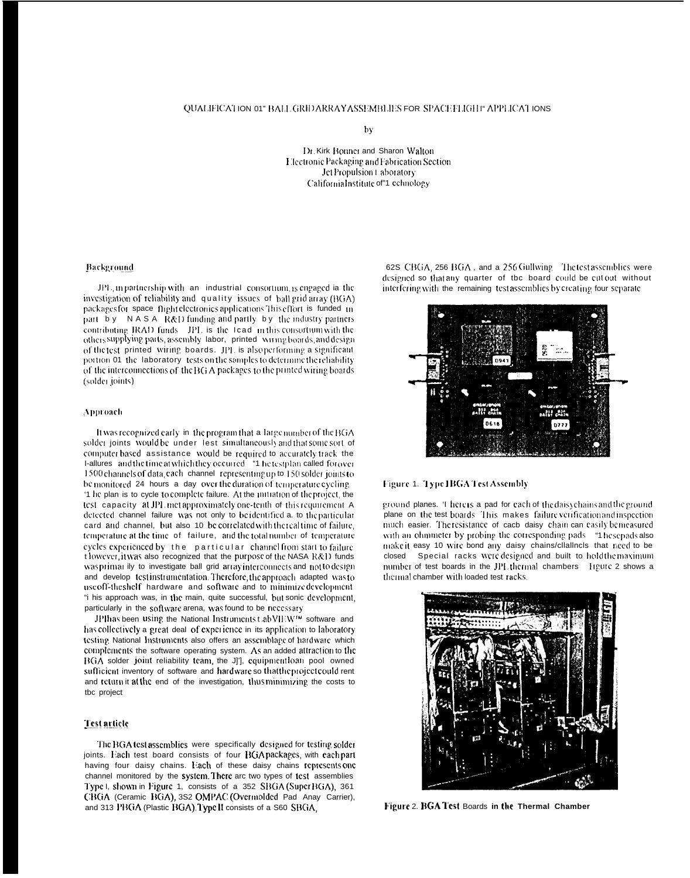by

Dr. Kirk Bonner and Sharon Walton Electronic Packaging and Fabrication Section Jet Propulsion Laboratory CaliforniaInstitute of"1 echnology

### Background

JPL, in partnership with an industrial consortium, is engaged ia the investigation of reliability and quality issues of ball grid array (BGA) packages for space flight electronics applications This effort is funded in part by NASA R&D funding and partly by the industry partners contributing IRAD funds IPL is the lead in this consortum with the others supplying parts, assembly labor, printed wiring boards, and design of the test printed wiring boards. JPL is also performing a significant portion 01 the laboratory tests on the samples to determine the reliability of the interconnections of the BG A packages to the printed wiring boards (solder joints)

## Approach

It was recognized early in the program that a large number of the BGA solder joints would be under lest simultaneously and that some sort of computer based assistance would be required to accurately track the I-allures and the time at which they occurred "1 he test plan called for over 1500 channels of data, each channel representing up to 150 solder joints to be monitored 24 hours a day over the duration of temperature eveling '1 he plan is to cycle to complete failure. At the initiation of the project, the test capacity at JPL met approximately one-tenth of this requirement. A detected channel failure was not only to beidentified a, to the particular card and channel, but also 10 be correlated with the real time of failure, temperature at the time of failure, and the total number of temperature cycles experienced by the particular channel from start to failure t lowever, it was also recognized that the purpose of the NASA R&D funds was primar ily to investigate ball grid array interconnects and not to design and develop test instrumentation. Therefore, the approach adapted was to use off-the shelf hardware and software and to minimize development "i his approach was, in the main, quite successful, but sonic development, particularly in the software arena, was found to be necessary

JPI has been using the National Instruments t abVII W<sup>IM</sup> software and has collectively a great deal of experience in its application to laboratory testing National Instruments also offers an assemblage of hardware which complements the software operating system. As an added attraction to the BGA solder joint reliability team, the J]'], equipmentioan pool owned sufficient inventory of software and hardware so that the project could rent and return it at the end of the investigation, thus minimizing the costs to tbc project

# **Test article**

The BGA test assemblies were specifically designed for testing solder joints. Each test board consists of four BGA packages, with each part having four daisy chains. Each of these daisy chains represents one channel monitored by the system. There are two types of test assemblies Type I, shown in Figure 1, consists of a 352 SBGA (Super BGA), 361 CBGA (Ceramic BGA), 3S2 OMPAC (Overmolded Pad Anay Carrier), and 313 PBGA (Plastic BGA) Type II consists of a S60 SBGA.

62S CBGA, 256 BGA, and a 256 Gullwing The test assemblies were designed so that any quarter of tbc board could be cut out without interfering with the remaining testassemblies by creating four separate





ground planes. 'I here is a pad for each of the daisy chains and the ground plane on the test boards. This makes failure verification and inspection much easier. Theresistance of each daisy chain can easily bemeasured with an ohmmeter by probing the corresponding pads "1 hesepads also makeit easy 10 wire bond any daisy chains/cllallncls that need to be closed Special racks were designed and built to hold the maximum number of test boards in the JPL thermal chambers Hgure 2 shows a thermal chamber with loaded test racks.



Figure 2. BGA Test Boards in the Thermal Chamber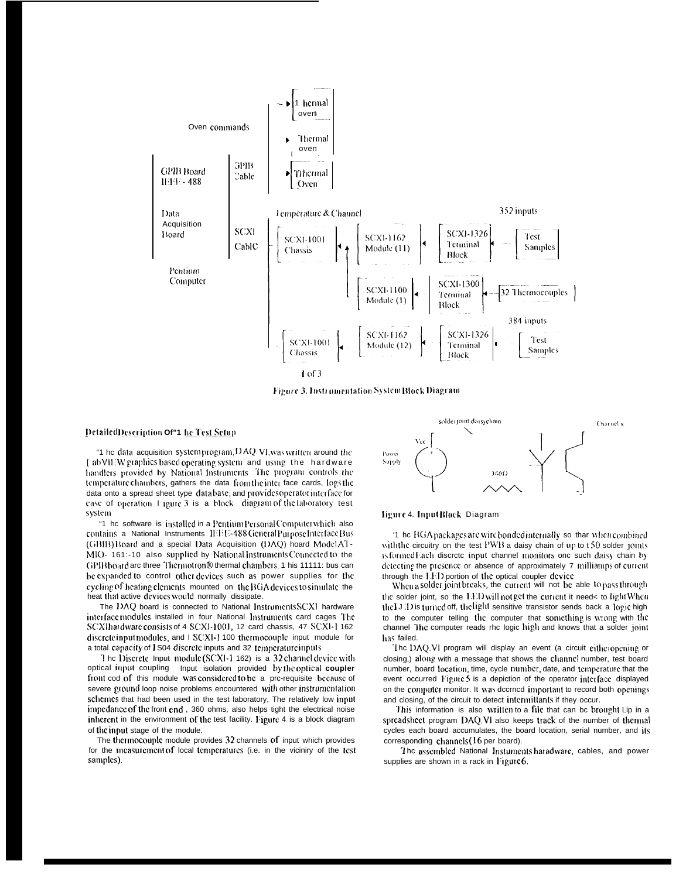

Figure 3. Instrumentation System Block Diagram

#### DetailedDescription Of"1 he Test Setup

"1 he data acquisition systemprogram, DAQ VI, was written around the [abVII/W graphics based operating system and using the hardware handlers provided by National Instruments. The program controls the temperature chambers, gathers the data from the inter face cards, logs the data onto a spread sheet type data base, and provides operator interface for case of operation. I igure 3 is a block diagram of the laboratory test system

"1 he software is installed in a Pentium Personal Computer which also contains a National Instruments IEEE-488 General Purpose Interface Bus (GBIB) Board and a special Data Acquisition (DAQ) hoard Model AT-MIO- 161:-10 also supplied by National Instruments Connected to the GPIB board are three Thermotron® thermal chambers. 1 his 11111: bus can be expanded to control other devices such as power supplies for the cycling of heating elements mounted on the BGA devices to simulate the heat that active devices would normally dissipate.

The DAQ board is connected to National Instruments SCXI hardware interface modules installed in four National Instruments card cages The SCXI hardware consists of 4 SCXI-1001, 12 card chassis, 47 SCXI-1 162 discreteinput modules, and I SCXI-1 100 thermocouple input module for a total capacity of I S04 discrete inputs and 32 temperature inputs

The Discrete Input module (SCXI-1 162) is a 32 channel device with optical input coupling Input isolation provided by the optical coupler front cod of this module was considered to be a pre-requisite because of severe ground loop noise problems encountered with other instrumentation schemes that had been used in the test laboratory, The relatively low input impedance of the front end, 360 ohms, also helps tight the electrical noise inherent in the environment of the test facility. Figure 4 is a block diagram of the input stage of the module.

The thermocouple module provides 32 channels of input which provides for the measurement of local temperatures (i.e. in the viciniry of the test samples).



ligure 4. InputBlock Diagram

'1 he BGA packages are wire bonded internally so thar when combined with the circuitry on the test PWB a daisy chain of up to t 50 solder joints is formed Each discrete input channel monitors one such daisy chain by detecting the presence or absence of approximately 7 milliamps of current through the LED portion of the optical coupler device

When a solder joint breaks, the current will not be able to pass through the solder joint, so the LED will not get the current it needs to light When the  $J/J$  is turned off, the light sensitive transistor sends back a logic high to the computer telling the computer that something is wrong with the channel The computer reads rhc logic high and knows that a solder joint has failed.

The DAQ VI program will display an event (a circuit eitheropening or closing.) along with a message that shows the channel number, test board number, board location, time, cycle number, date, and temperature that the event occurred Figure 5 is a depiction of the operator interface displayed on the computer monitor. It was decrned important to record both openings and closing, of the circuit to detect intermittants if they occur.

This information is also written to a file that can be brought Lip in a spreadsheet program DAO. VI also keeps track of the number of thermal cycles each board accumulates, the board location, serial number, and its corresponding channels (16 per board).

The assembled National Instuments haradware, cables, and power supplies are shown in a rack in Figure 6.